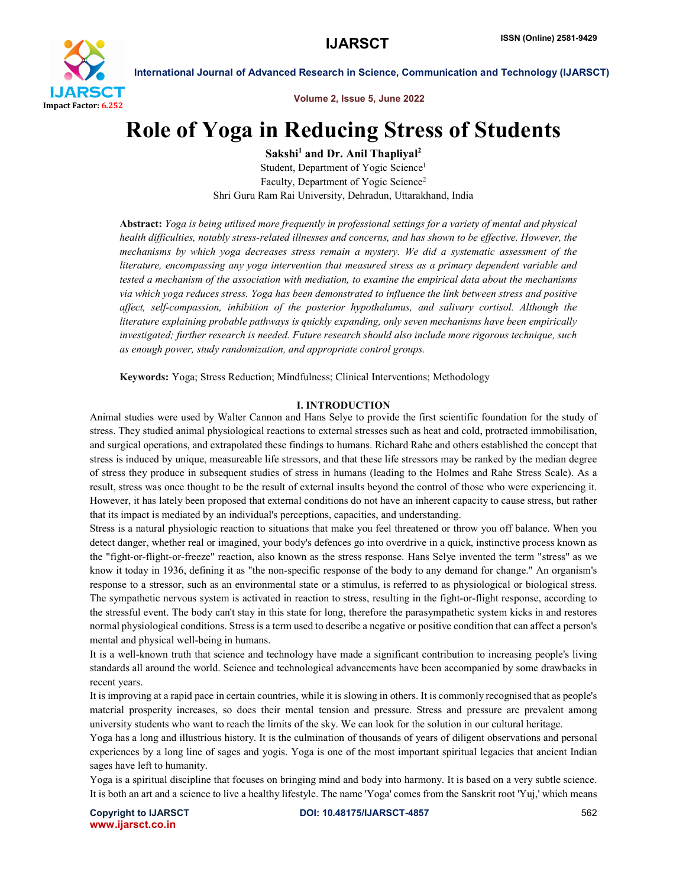

International Journal of Advanced Research in Science, Communication and Technology (IJARSCT)

Volume 2, Issue 5, June 2022

# Role of Yoga in Reducing Stress of Students

 $Sakshi<sup>1</sup>$  and Dr. Anil Thapliyal<sup>2</sup>

Student, Department of Yogic Science<sup>1</sup> Faculty, Department of Yogic Science<sup>2</sup> Shri Guru Ram Rai University, Dehradun, Uttarakhand, India

Abstract: *Yoga is being utilised more frequently in professional settings for a variety of mental and physical health difficulties, notably stress-related illnesses and concerns, and has shown to be effective. However, the mechanisms by which yoga decreases stress remain a mystery. We did a systematic assessment of the literature, encompassing any yoga intervention that measured stress as a primary dependent variable and tested a mechanism of the association with mediation, to examine the empirical data about the mechanisms via which yoga reduces stress. Yoga has been demonstrated to influence the link between stress and positive affect, self-compassion, inhibition of the posterior hypothalamus, and salivary cortisol. Although the literature explaining probable pathways is quickly expanding, only seven mechanisms have been empirically investigated; further research is needed. Future research should also include more rigorous technique, such as enough power, study randomization, and appropriate control groups.*

Keywords: Yoga; Stress Reduction; Mindfulness; Clinical Interventions; Methodology

# I. INTRODUCTION

Animal studies were used by Walter Cannon and Hans Selye to provide the first scientific foundation for the study of stress. They studied animal physiological reactions to external stresses such as heat and cold, protracted immobilisation, and surgical operations, and extrapolated these findings to humans. Richard Rahe and others established the concept that stress is induced by unique, measureable life stressors, and that these life stressors may be ranked by the median degree of stress they produce in subsequent studies of stress in humans (leading to the Holmes and Rahe Stress Scale). As a result, stress was once thought to be the result of external insults beyond the control of those who were experiencing it. However, it has lately been proposed that external conditions do not have an inherent capacity to cause stress, but rather that its impact is mediated by an individual's perceptions, capacities, and understanding.

Stress is a natural physiologic reaction to situations that make you feel threatened or throw you off balance. When you detect danger, whether real or imagined, your body's defences go into overdrive in a quick, instinctive process known as the "fight-or-flight-or-freeze" reaction, also known as the stress response. Hans Selye invented the term "stress" as we know it today in 1936, defining it as "the non-specific response of the body to any demand for change." An organism's response to a stressor, such as an environmental state or a stimulus, is referred to as physiological or biological stress. The sympathetic nervous system is activated in reaction to stress, resulting in the fight-or-flight response, according to the stressful event. The body can't stay in this state for long, therefore the parasympathetic system kicks in and restores normal physiological conditions. Stress is a term used to describe a negative or positive condition that can affect a person's mental and physical well-being in humans.

It is a well-known truth that science and technology have made a significant contribution to increasing people's living standards all around the world. Science and technological advancements have been accompanied by some drawbacks in recent years.

It is improving at a rapid pace in certain countries, while it is slowing in others. It is commonly recognised that as people's material prosperity increases, so does their mental tension and pressure. Stress and pressure are prevalent among university students who want to reach the limits of the sky. We can look for the solution in our cultural heritage.

Yoga has a long and illustrious history. It is the culmination of thousands of years of diligent observations and personal experiences by a long line of sages and yogis. Yoga is one of the most important spiritual legacies that ancient Indian sages have left to humanity.

Yoga is a spiritual discipline that focuses on bringing mind and body into harmony. It is based on a very subtle science. It is both an art and a science to live a healthy lifestyle. The name 'Yoga' comes from the Sanskrit root 'Yuj,' which means

www.ijarsct.co.in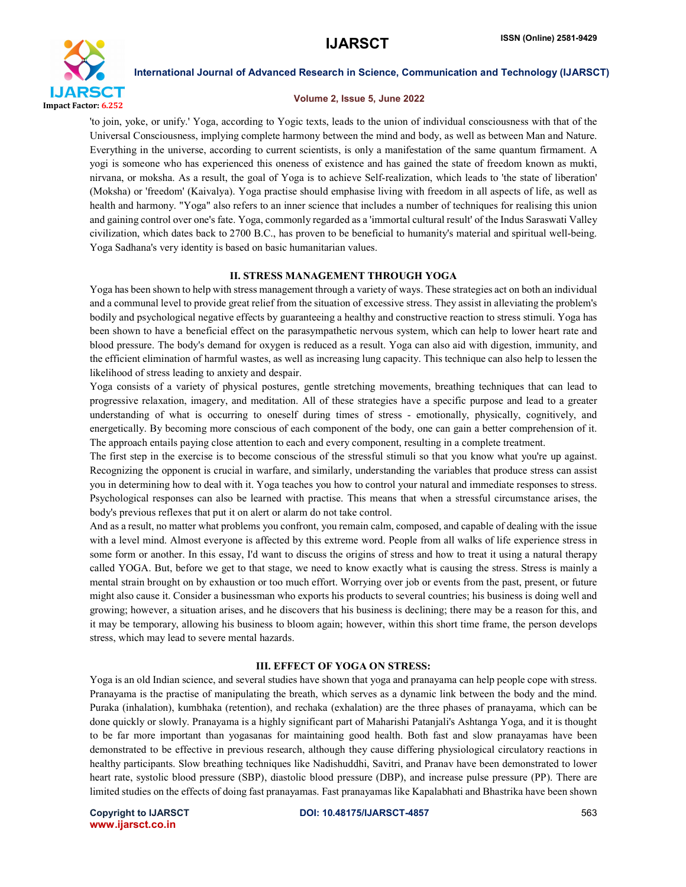

International Journal of Advanced Research in Science, Communication and Technology (IJARSCT)

### Volume 2, Issue 5, June 2022

'to join, yoke, or unify.' Yoga, according to Yogic texts, leads to the union of individual consciousness with that of the Universal Consciousness, implying complete harmony between the mind and body, as well as between Man and Nature. Everything in the universe, according to current scientists, is only a manifestation of the same quantum firmament. A yogi is someone who has experienced this oneness of existence and has gained the state of freedom known as mukti, nirvana, or moksha. As a result, the goal of Yoga is to achieve Self-realization, which leads to 'the state of liberation' (Moksha) or 'freedom' (Kaivalya). Yoga practise should emphasise living with freedom in all aspects of life, as well as health and harmony. "Yoga" also refers to an inner science that includes a number of techniques for realising this union and gaining control over one's fate. Yoga, commonly regarded as a 'immortal cultural result' of the Indus Saraswati Valley civilization, which dates back to 2700 B.C., has proven to be beneficial to humanity's material and spiritual well-being. Yoga Sadhana's very identity is based on basic humanitarian values.

# II. STRESS MANAGEMENT THROUGH YOGA

Yoga has been shown to help with stress management through a variety of ways. These strategies act on both an individual and a communal level to provide great relief from the situation of excessive stress. They assist in alleviating the problem's bodily and psychological negative effects by guaranteeing a healthy and constructive reaction to stress stimuli. Yoga has been shown to have a beneficial effect on the parasympathetic nervous system, which can help to lower heart rate and blood pressure. The body's demand for oxygen is reduced as a result. Yoga can also aid with digestion, immunity, and the efficient elimination of harmful wastes, as well as increasing lung capacity. This technique can also help to lessen the likelihood of stress leading to anxiety and despair.

Yoga consists of a variety of physical postures, gentle stretching movements, breathing techniques that can lead to progressive relaxation, imagery, and meditation. All of these strategies have a specific purpose and lead to a greater understanding of what is occurring to oneself during times of stress - emotionally, physically, cognitively, and energetically. By becoming more conscious of each component of the body, one can gain a better comprehension of it. The approach entails paying close attention to each and every component, resulting in a complete treatment.

The first step in the exercise is to become conscious of the stressful stimuli so that you know what you're up against. Recognizing the opponent is crucial in warfare, and similarly, understanding the variables that produce stress can assist you in determining how to deal with it. Yoga teaches you how to control your natural and immediate responses to stress. Psychological responses can also be learned with practise. This means that when a stressful circumstance arises, the body's previous reflexes that put it on alert or alarm do not take control.

And as a result, no matter what problems you confront, you remain calm, composed, and capable of dealing with the issue with a level mind. Almost everyone is affected by this extreme word. People from all walks of life experience stress in some form or another. In this essay, I'd want to discuss the origins of stress and how to treat it using a natural therapy called YOGA. But, before we get to that stage, we need to know exactly what is causing the stress. Stress is mainly a mental strain brought on by exhaustion or too much effort. Worrying over job or events from the past, present, or future might also cause it. Consider a businessman who exports his products to several countries; his business is doing well and growing; however, a situation arises, and he discovers that his business is declining; there may be a reason for this, and it may be temporary, allowing his business to bloom again; however, within this short time frame, the person develops stress, which may lead to severe mental hazards.

# III. EFFECT OF YOGA ON STRESS:

Yoga is an old Indian science, and several studies have shown that yoga and pranayama can help people cope with stress. Pranayama is the practise of manipulating the breath, which serves as a dynamic link between the body and the mind. Puraka (inhalation), kumbhaka (retention), and rechaka (exhalation) are the three phases of pranayama, which can be done quickly or slowly. Pranayama is a highly significant part of Maharishi Patanjali's Ashtanga Yoga, and it is thought to be far more important than yogasanas for maintaining good health. Both fast and slow pranayamas have been demonstrated to be effective in previous research, although they cause differing physiological circulatory reactions in healthy participants. Slow breathing techniques like Nadishuddhi, Savitri, and Pranav have been demonstrated to lower heart rate, systolic blood pressure (SBP), diastolic blood pressure (DBP), and increase pulse pressure (PP). There are limited studies on the effects of doing fast pranayamas. Fast pranayamas like Kapalabhati and Bhastrika have been shown

www.ijarsct.co.in